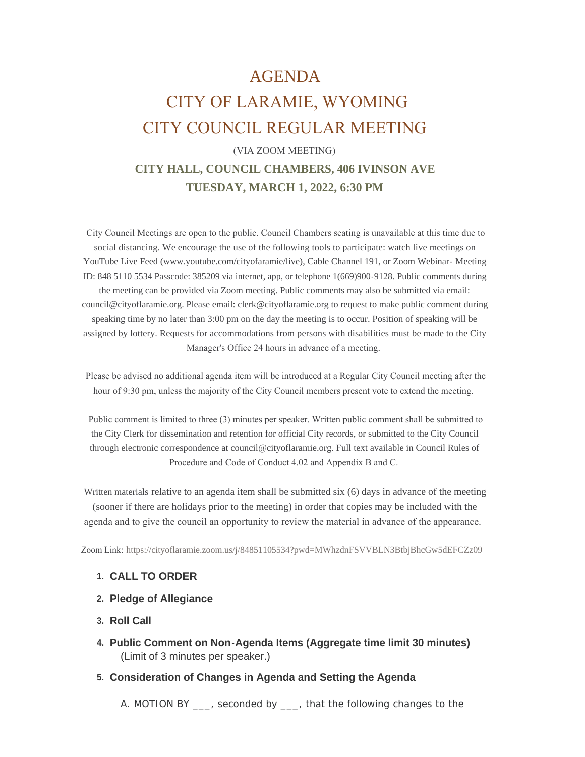## AGENDA

# CITY OF LARAMIE, WYOMING CITY COUNCIL REGULAR MEETING

## (VIA ZOOM MEETING) **CITY HALL, COUNCIL CHAMBERS, 406 IVINSON AVE**

## **TUESDAY, MARCH 1, 2022, 6:30 PM**

 City Council Meetings are open to the public. Council Chambers seating is unavailable at this time due to social distancing. We encourage the use of the following tools to participate: watch live meetings on YouTube Live Feed (www.youtube.com/cityofaramie/live), Cable Channel 191, or Zoom Webinar- Meeting ID: 848 5110 5534 Passcode: 385209 via internet, app, or telephone 1(669)900-9128. Public comments during the meeting can be provided via Zoom meeting. Public comments may also be submitted via email: council@cityoflaramie.org. Please email: clerk@cityoflaramie.org to request to make public comment during speaking time by no later than 3:00 pm on the day the meeting is to occur. Position of speaking will be assigned by lottery. Requests for accommodations from persons with disabilities must be made to the City Manager's Office 24 hours in advance of a meeting.

 Please be advised no additional agenda item will be introduced at a Regular City Council meeting after the hour of 9:30 pm, unless the majority of the City Council members present vote to extend the meeting.

 Public comment is limited to three (3) minutes per speaker. Written public comment shall be submitted to the City Clerk for dissemination and retention for official City records, or submitted to the City Council through electronic correspondence at council@cityoflaramie.org. Full text available in Council Rules of Procedure and Code of Conduct 4.02 and Appendix B and C.

Written materials relative to an agenda item shall be submitted six (6) days in advance of the meeting (sooner if there are holidays prior to the meeting) in order that copies may be included with the agenda and to give the council an opportunity to review the material in advance of the appearance.

Zoom Link: <https://cityoflaramie.zoom.us/j/84851105534?pwd=MWhzdnFSVVBLN3BtbjBhcGw5dEFCZz09>

## **CALL TO ORDER 1.**

- **Pledge of Allegiance 2.**
- **Roll Call 3.**
- **Public Comment on Non-Agenda Items (Aggregate time limit 30 minutes) 4.** (Limit of 3 minutes per speaker.)

#### **Consideration of Changes in Agenda and Setting the Agenda 5.**

A. MOTION BY \_\_\_, seconded by \_\_\_, that the following changes to the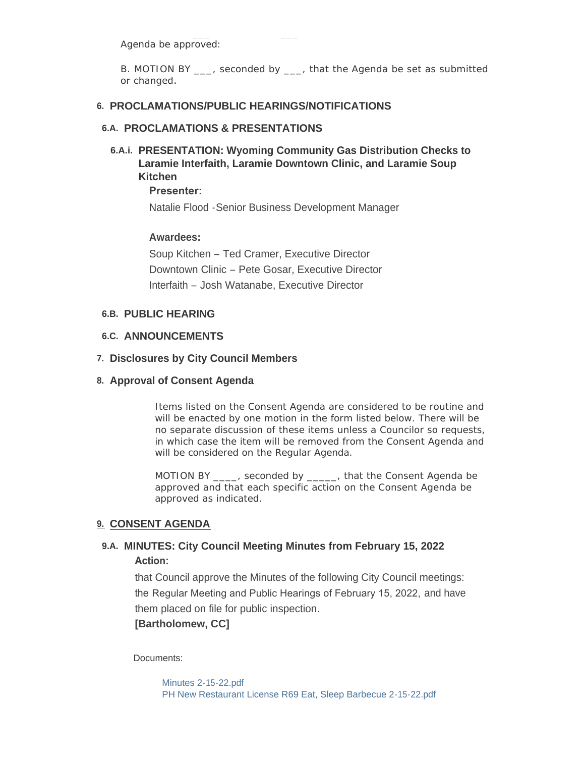Agenda be approved:

B. MOTION BY , seconded by , that the Agenda be set as submitted or changed.

## **PROCLAMATIONS/PUBLIC HEARINGS/NOTIFICATIONS 6.**

## **PROCLAMATIONS & PRESENTATIONS 6.A.**

**PRESENTATION: Wyoming Community Gas Distribution Checks to 6.A.i. Laramie Interfaith, Laramie Downtown Clinic, and Laramie Soup Kitchen** 

**Presenter:** 

Natalie Flood -Senior Business Development Manager

## **Awardees:**

Soup Kitchen – Ted Cramer, Executive Director Downtown Clinic – Pete Gosar, Executive Director Interfaith – Josh Watanabe, Executive Director

## **PUBLIC HEARING 6.B.**

## **ANNOUNCEMENTS 6.C.**

## **Disclosures by City Council Members 7.**

## **Approval of Consent Agenda 8.**

Items listed on the Consent Agenda are considered to be routine and will be enacted by one motion in the form listed below. There will be no separate discussion of these items unless a Councilor so requests, in which case the item will be removed from the Consent Agenda and will be considered on the Regular Agenda.

MOTION BY \_\_\_\_, seconded by \_\_\_\_\_, that the Consent Agenda be approved and that each specific action on the Consent Agenda be approved as indicated.

## **CONSENT AGENDA 9.**

## **MINUTES: City Council Meeting Minutes from February 15, 2022 9.A. Action:**

that Council approve the Minutes of the following City Council meetings: the Regular Meeting and Public Hearings of February 15, 2022, and have them placed on file for public inspection.

**[Bartholomew, CC]**

Documents:

[Minutes 2-15-22.pdf](https://cityoflaramie.org/AgendaCenter/ViewFile/Item/11938?fileID=16180) [PH New Restaurant License R69 Eat, Sleep Barbecue 2-15-22.pdf](https://cityoflaramie.org/AgendaCenter/ViewFile/Item/11938?fileID=16181)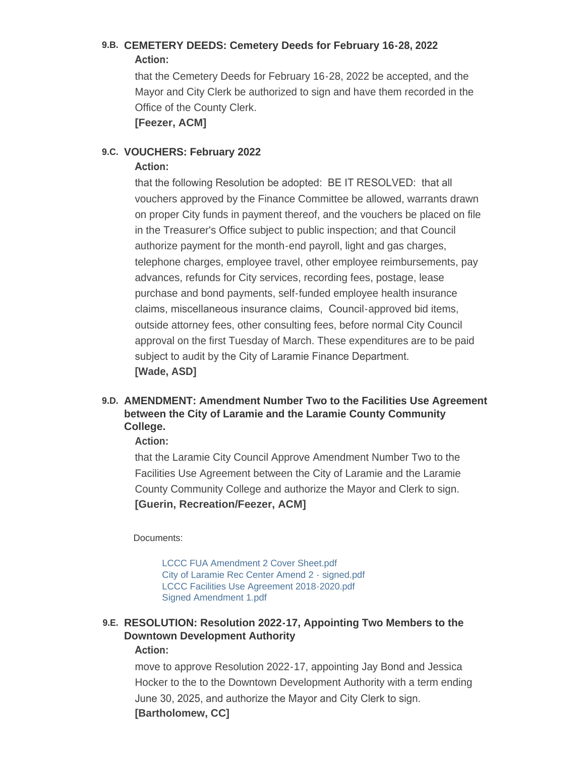## **CEMETERY DEEDS: Cemetery Deeds for February 16-28, 2022 9.B. Action:**

that the Cemetery Deeds for February 16-28, 2022 be accepted, and the Mayor and City Clerk be authorized to sign and have them recorded in the Office of the County Clerk.

**[Feezer, ACM]**

## 9.C. VOUCHERS: February 2022

## **Action:**

that the following Resolution be adopted: BE IT RESOLVED: that all vouchers approved by the Finance Committee be allowed, warrants drawn on proper City funds in payment thereof, and the vouchers be placed on file in the Treasurer's Office subject to public inspection; and that Council authorize payment for the month-end payroll, light and gas charges, telephone charges, employee travel, other employee reimbursements, pay advances, refunds for City services, recording fees, postage, lease purchase and bond payments, self-funded employee health insurance claims, miscellaneous insurance claims, Council-approved bid items, outside attorney fees, other consulting fees, before normal City Council approval on the first Tuesday of March. These expenditures are to be paid subject to audit by the City of Laramie Finance Department. **[Wade, ASD]**

## **AMENDMENT: Amendment Number Two to the Facilities Use Agreement 9.D. between the City of Laramie and the Laramie County Community College.**

## **Action:**

that the Laramie City Council Approve Amendment Number Two to the Facilities Use Agreement between the City of Laramie and the Laramie County Community College and authorize the Mayor and Clerk to sign. **[Guerin, Recreation/Feezer, ACM]**

Documents:

[LCCC FUA Amendment 2 Cover Sheet.pdf](https://cityoflaramie.org/AgendaCenter/ViewFile/Item/11912?fileID=16164) [City of Laramie Rec Center Amend 2 - signed.pdf](https://cityoflaramie.org/AgendaCenter/ViewFile/Item/11912?fileID=16165) [LCCC Facilities Use Agreement 2018-2020.pdf](https://cityoflaramie.org/AgendaCenter/ViewFile/Item/11912?fileID=16166) [Signed Amendment 1.pdf](https://cityoflaramie.org/AgendaCenter/ViewFile/Item/11912?fileID=16167)

## **RESOLUTION: Resolution 2022-17, Appointing Two Members to the 9.E. Downtown Development Authority Action:**

move to approve Resolution 2022-17, appointing Jay Bond and Jessica Hocker to the to the Downtown Development Authority with a term ending June 30, 2025, and authorize the Mayor and City Clerk to sign. **[Bartholomew, CC]**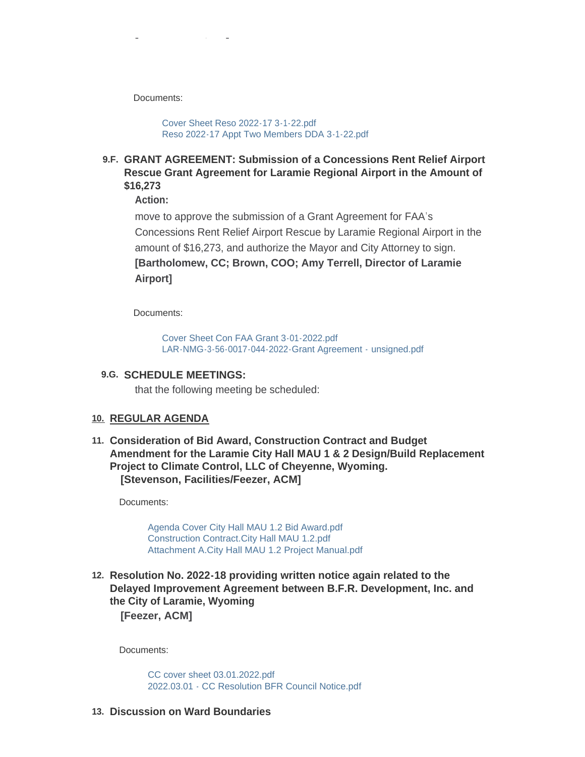Documents:

**[Bartholomew, CC]**

[Cover Sheet Reso 2022-17 3-1-22.pdf](https://cityoflaramie.org/AgendaCenter/ViewFile/Item/11925?fileID=16176) [Reso 2022-17 Appt Two Members DDA 3-1-22.pdf](https://cityoflaramie.org/AgendaCenter/ViewFile/Item/11925?fileID=16177)

**GRANT AGREEMENT: Submission of a Concessions Rent Relief Airport 9.F. Rescue Grant Agreement for Laramie Regional Airport in the Amount of \$16,273**

**Action:**

move to approve the submission of a Grant Agreement for FAA's Concessions Rent Relief Airport Rescue by Laramie Regional Airport in the amount of \$16,273, and authorize the Mayor and City Attorney to sign. **[Bartholomew, CC; Brown, COO; Amy Terrell, Director of Laramie Airport]**

Documents:

[Cover Sheet Con FAA Grant 3-01-2022.pdf](https://cityoflaramie.org/AgendaCenter/ViewFile/Item/11952?fileID=16193) [LAR-NMG-3-56-0017-044-2022-Grant Agreement -](https://cityoflaramie.org/AgendaCenter/ViewFile/Item/11952?fileID=16186) unsigned.pdf

## **SCHEDULE MEETINGS: 9.G.**

that the following meeting be scheduled:

#### **REGULAR AGENDA 10.**

**Consideration of Bid Award, Construction Contract and Budget 11. Amendment for the Laramie City Hall MAU 1 & 2 Design/Build Replacement Project to Climate Control, LLC of Cheyenne, Wyoming. [Stevenson, Facilities/Feezer, ACM]**

Documents:

[Agenda Cover City Hall MAU 1.2 Bid Award.pdf](https://cityoflaramie.org/AgendaCenter/ViewFile/Item/11911?fileID=16189) [Construction Contract.City Hall MAU 1.2.pdf](https://cityoflaramie.org/AgendaCenter/ViewFile/Item/11911?fileID=16162) [Attachment A.City Hall MAU 1.2 Project Manual.pdf](https://cityoflaramie.org/AgendaCenter/ViewFile/Item/11911?fileID=16163)

**Resolution No. 2022-18 providing written notice again related to the 12. Delayed Improvement Agreement between B.F.R. Development, Inc. and the City of Laramie, Wyoming**

**[Feezer, ACM]**

Documents:

[CC cover sheet 03.01.2022.pdf](https://cityoflaramie.org/AgendaCenter/ViewFile/Item/11953?fileID=16192) [2022.03.01 - CC Resolution BFR Council Notice.pdf](https://cityoflaramie.org/AgendaCenter/ViewFile/Item/11953?fileID=16191)

**Discussion on Ward Boundaries 13.**